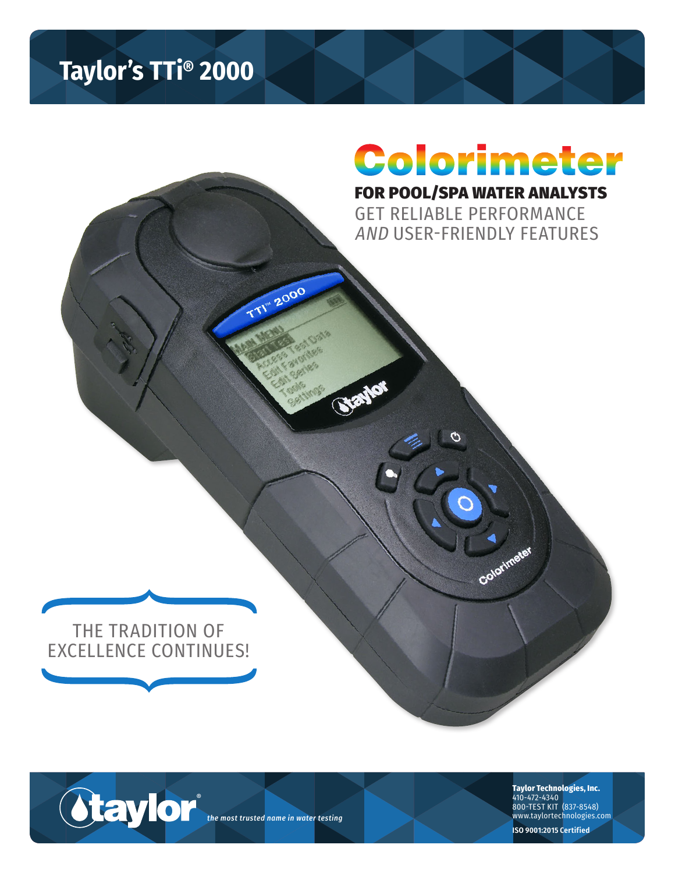## **Taylor's TTi® 2000**

# FOR POOL/SPA WATER ANALYSTS Colorimeter

GET RELIABLE PERFORMANCE AND USER-FRIENDLY FEATURES

Colorimeter



**Otaylor** *the most trusted name in water testing*

**TTI"** 2000

**Taylor Technologies, Inc.** 410-472-4340

800-TEST KIT (837-8548) www.taylortechnologies.com

**ISO 9001:2015 Certified**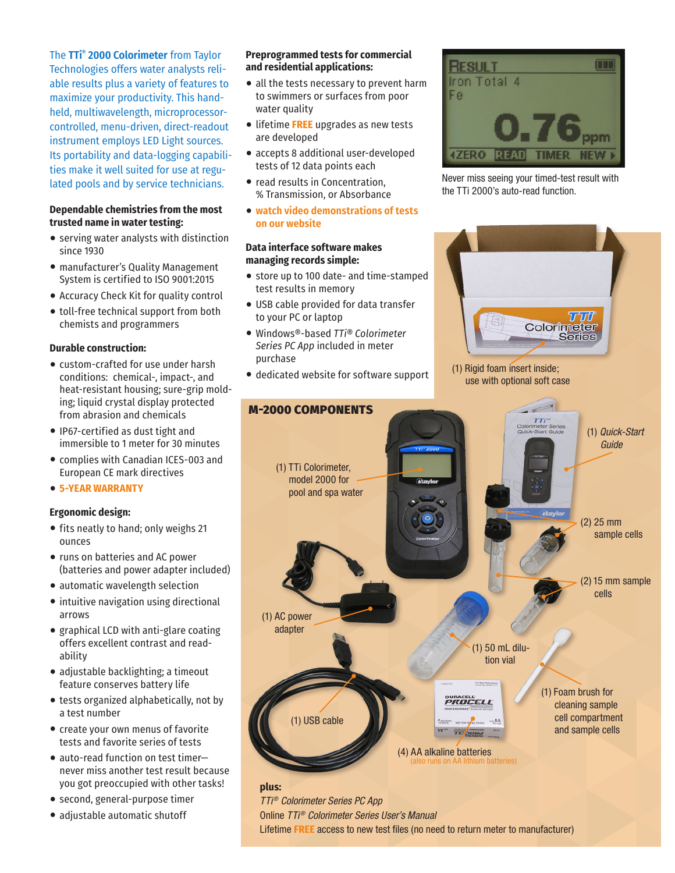### The **TTi® 2000 Colorimeter** from Taylor

Technologies offers water analysts reliable results plus a variety of features to maximize your productivity. This handheld, multiwavelength, microprocessorcontrolled, menu-driven, direct-readout instrument employs LED Light sources. Its portability and data-logging capabilities make it well suited for use at regulated pools and by service technicians.

#### **Dependable chemistries from the most trusted name in water testing:**

- serving water analysts with distinction since 1930
- manufacturer's Quality Management System is certified to ISO 9001:2015
- Accuracy Check Kit for quality control
- toll-free technical support from both chemists and programmers

#### **Durable construction:**

- custom-crafted for use under harsh conditions: chemical-, impact-, and heat-resistant housing; sure-grip molding; liquid crystal display protected from abrasion and chemicals
- •IP67-certified as dust tight and immersible to 1 meter for 30 minutes
- complies with Canadian ICES-003 and European CE mark directives
- **5-YEAR WARRANTY**

#### **Ergonomic design:**

- fits neatly to hand; only weighs 21 ounces
- runs on batteries and AC power (batteries and power adapter included)
- automatic wavelength selection
- intuitive navigation using directional arrows
- graphical LCD with anti-glare coating offers excellent contrast and readability
- adjustable backlighting; a timeout feature conserves battery life
- tests organized alphabetically, not by a test number
- create your own menus of favorite tests and favorite series of tests
- auto-read function on test timer never miss another test result because you got preoccupied with other tasks!

**plus:**

(1) AC power adapter

- second, general-purpose timer
- adjustable automatic shutoff

#### **Preprogrammed tests for commercial and residential applications:**

- all the tests necessary to prevent harm to swimmers or surfaces from poor water quality
- •lifetime **FREE** upgrades as new tests are developed
- accepts 8 additional user-developed tests of 12 data points each
- read results in Concentration, % Transmission, or Absorbance
- **watch video demonstrations of tests on our website**

#### **Data interface software makes managing records simple:**

- store up to 100 date- and time-stamped test results in memory
- USB cable provided for data transfer to your PC or laptop
- Windows®-based *TTi® Colorimeter Series PC App* included in meter purchase
- dedicated website for software support



Never miss seeing your timed-test result with the TTi 2000's auto-read function.



*TTi® Colorimeter Series PC App* Online *TTi® Colorimeter Series User's Manual* Lifetime **FREE** access to new test files (no need to return meter to manufacturer)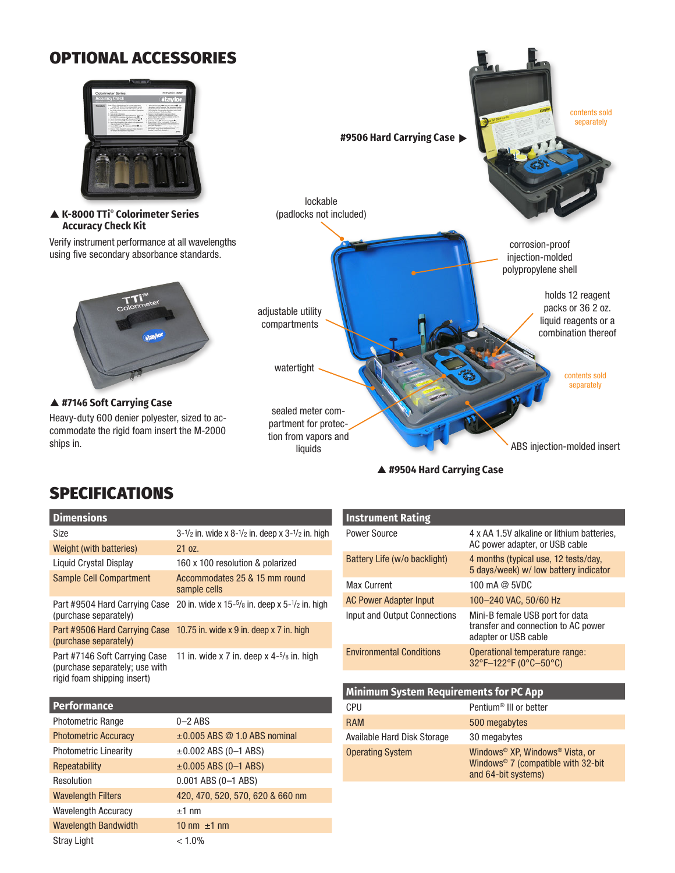## OPTIONAL ACCESSORIES



 **K-8000 TTi® Colorimeter Series Accuracy Check Kit**

Verify instrument performance at all wavelengths using five secondary absorbance standards.



 **#7146 Soft Carrying Case** Heavy-duty 600 denier polyester, sized to accommodate the rigid foam insert the M-2000 ships in.



 **#9504 Hard Carrying Case**

## SPECIFICATIONS

| <b>Dimensions</b>                                                                              |                                                                                      |
|------------------------------------------------------------------------------------------------|--------------------------------------------------------------------------------------|
| Size                                                                                           | $3 - \frac{1}{2}$ in. wide x $8 - \frac{1}{2}$ in. deep x $3 - \frac{1}{2}$ in. high |
| Weight (with batteries)                                                                        | 21 oz.                                                                               |
| Liquid Crystal Display                                                                         | 160 x 100 resolution & polarized                                                     |
| <b>Sample Cell Compartment</b>                                                                 | Accommodates 25 & 15 mm round<br>sample cells                                        |
| Part #9504 Hard Carrying Case<br>(purchase separately)                                         | 20 in. wide x $15-5/s$ in. deep x $5-1/z$ in. high                                   |
| Part #9506 Hard Carrying Case<br>(purchase separately)                                         | 10.75 in. wide $x$ 9 in. deep $x$ 7 in. high                                         |
| Part #7146 Soft Carrying Case<br>(purchase separately; use with<br>rigid foam shipping insert) | 11 in. wide x 7 in. deep x $4-5$ / $8$ in. high                                      |

| Performance                  |                                     |
|------------------------------|-------------------------------------|
| <b>Photometric Range</b>     | $0-2$ ABS                           |
| <b>Photometric Accuracy</b>  | $\pm 0.005$ ABS $@$ 1.0 ABS nominal |
| <b>Photometric Linearity</b> | $\pm 0.002$ ABS (0-1 ABS)           |
| Repeatability                | $\pm 0.005$ ABS (0-1 ABS)           |
| Resolution                   | 0.001 ABS (0-1 ABS)                 |
| <b>Wavelength Filters</b>    | 420, 470, 520, 570, 620 & 660 nm    |
| <b>Wavelength Accuracy</b>   | $±1$ nm                             |
| <b>Wavelength Bandwidth</b>  | 10 nm $\pm$ 1 nm                    |
| <b>Stray Light</b>           | $< 1.0\%$                           |

| <b>Instrument Rating</b>        |                                                                                                |
|---------------------------------|------------------------------------------------------------------------------------------------|
| Power Source                    | 4 x AA 1.5V alkaline or lithium batteries,<br>AC power adapter, or USB cable                   |
| Battery Life (w/o backlight)    | 4 months (typical use, 12 tests/day,<br>5 days/week) w/ low battery indicator                  |
| Max Current                     | 100 mA $@$ 5VDC                                                                                |
| <b>AC Power Adapter Input</b>   | 100-240 VAC, 50/60 Hz                                                                          |
| Input and Output Connections    | Mini-B female USB port for data<br>transfer and connection to AC power<br>adapter or USB cable |
| <b>Environmental Conditions</b> | Operational temperature range:<br>32°F-122°F (0°C-50°C)                                        |
|                                 |                                                                                                |

| <b>Minimum System Requirements for PC App</b> |                                                                                                                                     |  |  |
|-----------------------------------------------|-------------------------------------------------------------------------------------------------------------------------------------|--|--|
| <b>CPU</b>                                    | Pentium <sup>®</sup> III or better                                                                                                  |  |  |
| <b>RAM</b>                                    | 500 megabytes                                                                                                                       |  |  |
| Available Hard Disk Storage                   | 30 megabytes                                                                                                                        |  |  |
| <b>Operating System</b>                       | Windows <sup>®</sup> XP, Windows <sup>®</sup> Vista, or<br>Windows <sup>®</sup> 7 (compatible with $32$ -bit<br>and 64-bit systems) |  |  |